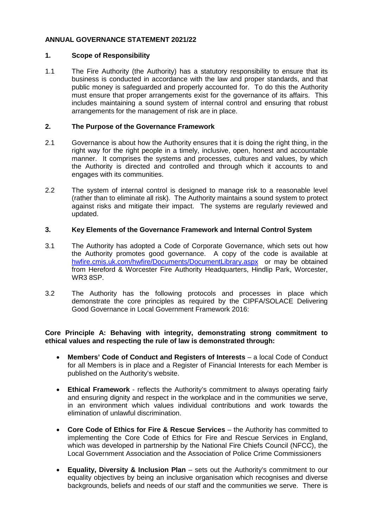# **ANNUAL GOVERNANCE STATEMENT 2021/22**

## **1. Scope of Responsibility**

1.1 The Fire Authority (the Authority) has a statutory responsibility to ensure that its business is conducted in accordance with the law and proper standards, and that public money is safeguarded and properly accounted for. To do this the Authority must ensure that proper arrangements exist for the governance of its affairs. This includes maintaining a sound system of internal control and ensuring that robust arrangements for the management of risk are in place.

#### **2. The Purpose of the Governance Framework**

- 2.1 Governance is about how the Authority ensures that it is doing the right thing, in the right way for the right people in a timely, inclusive, open, honest and accountable manner. It comprises the systems and processes, cultures and values, by which the Authority is directed and controlled and through which it accounts to and engages with its communities.
- 2.2 The system of internal control is designed to manage risk to a reasonable level (rather than to eliminate all risk). The Authority maintains a sound system to protect against risks and mitigate their impact. The systems are regularly reviewed and updated.

## **3. Key Elements of the Governance Framework and Internal Control System**

- 3.1 The Authority has adopted a Code of Corporate Governance, which sets out how the Authority promotes good governance. A copy of the code is available at [hwfire.cmis.uk.com/hwfire/Documents/DocumentLibrary.aspx](https://hwfire.cmis.uk.com/hwfire/Documents/DocumentLibrary.aspx) or may be obtained from Hereford & Worcester Fire Authority Headquarters, Hindlip Park, Worcester, WR3 8SP.
- 3.2 The Authority has the following protocols and processes in place which demonstrate the core principles as required by the CIPFA/SOLACE Delivering Good Governance in Local Government Framework 2016:

## **Core Principle A: Behaving with integrity, demonstrating strong commitment to ethical values and respecting the rule of law is demonstrated through:**

- **Members' Code of Conduct and Registers of Interests** a local Code of Conduct for all Members is in place and a Register of Financial Interests for each Member is published on the Authority's website.
- **Ethical Framework**  reflects the Authority's commitment to always operating fairly and ensuring dignity and respect in the workplace and in the communities we serve, in an environment which values individual contributions and work towards the elimination of unlawful discrimination.
- **Core Code of Ethics for Fire & Rescue Services** the Authority has committed to implementing the Core Code of Ethics for Fire and Rescue Services in England, which was developed in partnership by the National Fire Chiefs Council (NFCC), the Local Government Association and the Association of Police Crime Commissioners
- **Equality, Diversity & Inclusion Plan** sets out the Authority's commitment to our equality objectives by being an inclusive organisation which recognises and diverse backgrounds, beliefs and needs of our staff and the communities we serve. There is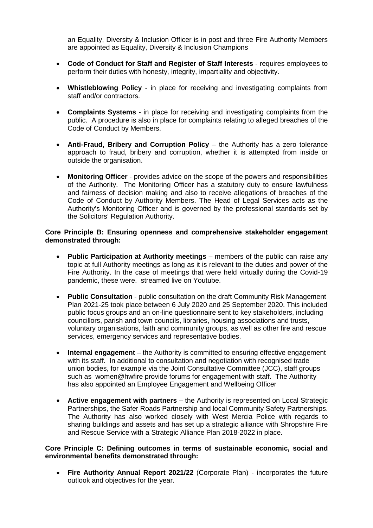an Equality, Diversity & Inclusion Officer is in post and three Fire Authority Members are appointed as Equality, Diversity & Inclusion Champions

- **Code of Conduct for Staff and Register of Staff Interests** requires employees to perform their duties with honesty, integrity, impartiality and objectivity.
- **Whistleblowing Policy** in place for receiving and investigating complaints from staff and/or contractors.
- **Complaints Systems** in place for receiving and investigating complaints from the public. A procedure is also in place for complaints relating to alleged breaches of the Code of Conduct by Members.
- **Anti-Fraud, Bribery and Corruption Policy** the Authority has a zero tolerance approach to fraud, bribery and corruption, whether it is attempted from inside or outside the organisation.
- **Monitoring Officer** provides advice on the scope of the powers and responsibilities of the Authority. The Monitoring Officer has a statutory duty to ensure lawfulness and fairness of decision making and also to receive allegations of breaches of the Code of Conduct by Authority Members. The Head of Legal Services acts as the Authority's Monitoring Officer and is governed by the professional standards set by the Solicitors' Regulation Authority.

#### **Core Principle B: Ensuring openness and comprehensive stakeholder engagement demonstrated through:**

- **Public Participation at Authority meetings** members of the public can raise any topic at full Authority meetings as long as it is relevant to the duties and power of the Fire Authority. In the case of meetings that were held virtually during the Covid-19 pandemic, these were. streamed live on Youtube.
- **Public Consultation** public consultation on the draft Community Risk Management Plan 2021-25 took place between 6 July 2020 and 25 September 2020. This included public focus groups and an on-line questionnaire sent to key stakeholders, including councillors, parish and town councils, libraries, housing associations and trusts, voluntary organisations, faith and community groups, as well as other fire and rescue services, emergency services and representative bodies.
- **Internal engagement** the Authority is committed to ensuring effective engagement with its staff. In additional to consultation and negotiation with recognised trade union bodies, for example via the Joint Consultative Committee (JCC), staff groups such as women@hwfire provide forums for engagement with staff. The Authority has also appointed an Employee Engagement and Wellbeing Officer
- **Active engagement with partners** the Authority is represented on Local Strategic Partnerships, the Safer Roads Partnership and local Community Safety Partnerships. The Authority has also worked closely with West Mercia Police with regards to sharing buildings and assets and has set up a strategic alliance with Shropshire Fire and Rescue Service with a Strategic Alliance Plan 2018-2022 in place.

#### **Core Principle C: Defining outcomes in terms of sustainable economic, social and environmental benefits demonstrated through:**

• **Fire Authority Annual Report 2021/22** (Corporate Plan) - incorporates the future outlook and objectives for the year.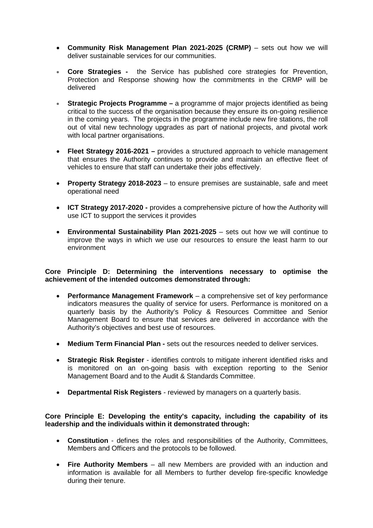- **Community Risk Management Plan 2021-2025 (CRMP)** sets out how we will deliver sustainable services for our communities.
- **Core Strategies -** the Service has published core strategies for Prevention, Protection and Response showing how the commitments in the CRMP will be delivered
- **Strategic Projects Programme –** a programme of major projects identified as being critical to the success of the organisation because they ensure its on-going resilience in the coming years. The projects in the programme include new fire stations, the roll out of vital new technology upgrades as part of national projects, and pivotal work with local partner organisations.
- **Fleet Strategy 2016-2021 –** provides a structured approach to vehicle management that ensures the Authority continues to provide and maintain an effective fleet of vehicles to ensure that staff can undertake their jobs effectively.
- **Property Strategy 2018-2023** to ensure premises are sustainable, safe and meet operational need
- **ICT Strategy 2017-2020 -** provides a comprehensive picture of how the Authority will use ICT to support the services it provides
- **Environmental Sustainability Plan 2021-2025** sets out how we will continue to improve the ways in which we use our resources to ensure the least harm to our environment

## **Core Principle D: Determining the interventions necessary to optimise the achievement of the intended outcomes demonstrated through:**

- **Performance Management Framework** a comprehensive set of key performance indicators measures the quality of service for users. Performance is monitored on a quarterly basis by the Authority's Policy & Resources Committee and Senior Management Board to ensure that services are delivered in accordance with the Authority's objectives and best use of resources.
- **Medium Term Financial Plan -** sets out the resources needed to deliver services.
- **Strategic Risk Register** identifies controls to mitigate inherent identified risks and is monitored on an on-going basis with exception reporting to the Senior Management Board and to the Audit & Standards Committee.
- **Departmental Risk Registers** reviewed by managers on a quarterly basis.

## **Core Principle E: Developing the entity's capacity, including the capability of its leadership and the individuals within it demonstrated through:**

- **Constitution** defines the roles and responsibilities of the Authority, Committees, Members and Officers and the protocols to be followed.
- **Fire Authority Members** all new Members are provided with an induction and information is available for all Members to further develop fire-specific knowledge during their tenure.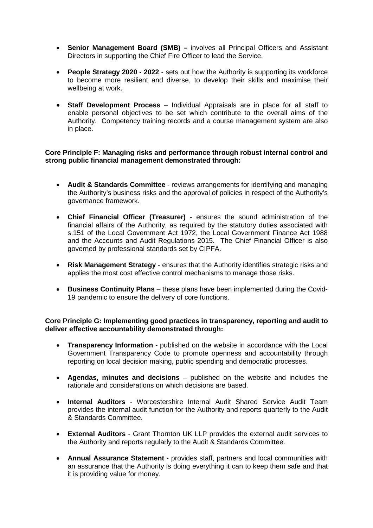- **Senior Management Board (SMB) –** involves all Principal Officers and Assistant Directors in supporting the Chief Fire Officer to lead the Service.
- **People Strategy 2020 - 2022** sets out how the Authority is supporting its workforce to become more resilient and diverse, to develop their skills and maximise their wellbeing at work.
- **Staff Development Process** Individual Appraisals are in place for all staff to enable personal objectives to be set which contribute to the overall aims of the Authority. Competency training records and a course management system are also in place.

#### **Core Principle F: Managing risks and performance through robust internal control and strong public financial management demonstrated through:**

- **Audit & Standards Committee** reviews arrangements for identifying and managing the Authority's business risks and the approval of policies in respect of the Authority's governance framework.
- **Chief Financial Officer (Treasurer)** ensures the sound administration of the financial affairs of the Authority, as required by the statutory duties associated with s.151 of the Local Government Act 1972, the Local Government Finance Act 1988 and the Accounts and Audit Regulations 2015. The Chief Financial Officer is also governed by professional standards set by CIPFA.
- **Risk Management Strategy** ensures that the Authority identifies strategic risks and applies the most cost effective control mechanisms to manage those risks.
- **Business Continuity Plans** these plans have been implemented during the Covid-19 pandemic to ensure the delivery of core functions.

## **Core Principle G: Implementing good practices in transparency, reporting and audit to deliver effective accountability demonstrated through:**

- **Transparency Information** published on the website in accordance with the Local Government Transparency Code to promote openness and accountability through reporting on local decision making, public spending and democratic processes.
- **Agendas, minutes and decisions** published on the website and includes the rationale and considerations on which decisions are based.
- **Internal Auditors** Worcestershire Internal Audit Shared Service Audit Team provides the internal audit function for the Authority and reports quarterly to the Audit & Standards Committee.
- **External Auditors**  Grant Thornton UK LLP provides the external audit services to the Authority and reports regularly to the Audit & Standards Committee.
- **Annual Assurance Statement** provides staff, partners and local communities with an assurance that the Authority is doing everything it can to keep them safe and that it is providing value for money.